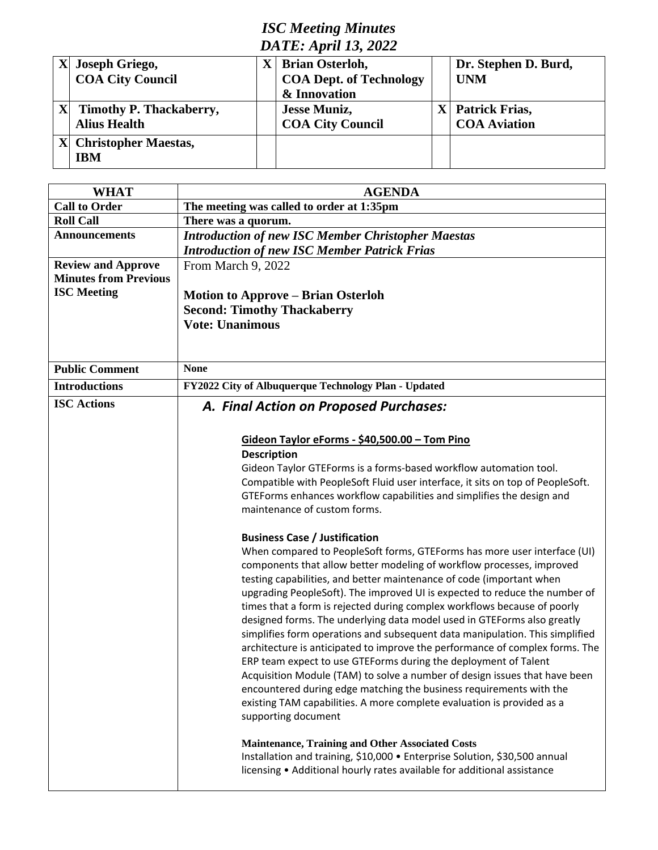## *ISC Meeting Minutes DATE: April 13, 2022*

|  | Joseph Griego,<br><b>COA City Council</b>      |  | <b>Brian Osterloh,</b><br><b>COA Dept. of Technology</b><br>& Innovation |  | Dr. Stephen D. Burd,<br><b>UNM</b>           |  |
|--|------------------------------------------------|--|--------------------------------------------------------------------------|--|----------------------------------------------|--|
|  | Timothy P. Thackaberry,<br><b>Alius Health</b> |  | <b>Jesse Muniz,</b><br><b>COA City Council</b>                           |  | <b>Patrick Frias,</b><br><b>COA Aviation</b> |  |
|  | <b>Christopher Maestas,</b><br><b>IBM</b>      |  |                                                                          |  |                                              |  |

| <b>WHAT</b>                  | <b>AGENDA</b>                                                                                                                                     |
|------------------------------|---------------------------------------------------------------------------------------------------------------------------------------------------|
| <b>Call to Order</b>         | The meeting was called to order at 1:35pm                                                                                                         |
| <b>Roll Call</b>             | There was a quorum.                                                                                                                               |
| <b>Announcements</b>         | <b>Introduction of new ISC Member Christopher Maestas</b>                                                                                         |
|                              | <b>Introduction of new ISC Member Patrick Frias</b>                                                                                               |
| <b>Review and Approve</b>    | From March 9, 2022                                                                                                                                |
| <b>Minutes from Previous</b> |                                                                                                                                                   |
| <b>ISC Meeting</b>           | <b>Motion to Approve - Brian Osterloh</b>                                                                                                         |
|                              | <b>Second: Timothy Thackaberry</b>                                                                                                                |
|                              | <b>Vote: Unanimous</b>                                                                                                                            |
|                              |                                                                                                                                                   |
|                              |                                                                                                                                                   |
| <b>Public Comment</b>        | <b>None</b>                                                                                                                                       |
| <b>Introductions</b>         | FY2022 City of Albuquerque Technology Plan - Updated                                                                                              |
| <b>ISC Actions</b>           | A. Final Action on Proposed Purchases:                                                                                                            |
|                              |                                                                                                                                                   |
|                              | Gideon Taylor eForms - \$40,500.00 - Tom Pino                                                                                                     |
|                              | <b>Description</b>                                                                                                                                |
|                              | Gideon Taylor GTEForms is a forms-based workflow automation tool.                                                                                 |
|                              | Compatible with PeopleSoft Fluid user interface, it sits on top of PeopleSoft.                                                                    |
|                              | GTEForms enhances workflow capabilities and simplifies the design and                                                                             |
|                              | maintenance of custom forms.                                                                                                                      |
|                              |                                                                                                                                                   |
|                              | <b>Business Case / Justification</b>                                                                                                              |
|                              | When compared to PeopleSoft forms, GTEForms has more user interface (UI)<br>components that allow better modeling of workflow processes, improved |
|                              | testing capabilities, and better maintenance of code (important when                                                                              |
|                              | upgrading PeopleSoft). The improved UI is expected to reduce the number of                                                                        |
|                              | times that a form is rejected during complex workflows because of poorly                                                                          |
|                              | designed forms. The underlying data model used in GTEForms also greatly                                                                           |
|                              | simplifies form operations and subsequent data manipulation. This simplified                                                                      |
|                              | architecture is anticipated to improve the performance of complex forms. The                                                                      |
|                              | ERP team expect to use GTEForms during the deployment of Talent                                                                                   |
|                              | Acquisition Module (TAM) to solve a number of design issues that have been                                                                        |
|                              | encountered during edge matching the business requirements with the                                                                               |
|                              | existing TAM capabilities. A more complete evaluation is provided as a                                                                            |
|                              | supporting document                                                                                                                               |
|                              | <b>Maintenance, Training and Other Associated Costs</b>                                                                                           |
|                              | Installation and training, \$10,000 · Enterprise Solution, \$30,500 annual                                                                        |
|                              | licensing • Additional hourly rates available for additional assistance                                                                           |
|                              |                                                                                                                                                   |